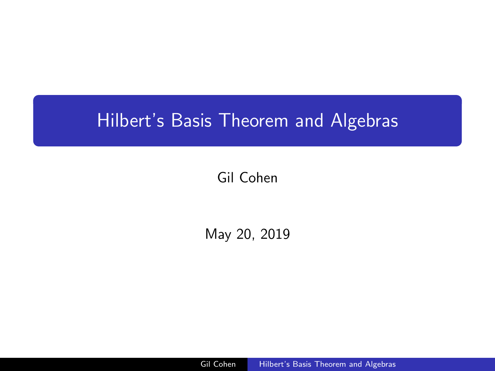# <span id="page-0-0"></span>Hilbert's Basis Theorem and Algebras

# Gil Cohen

May 20, 2019

Gil Cohen Hilbert's Basis Theorem and Algebras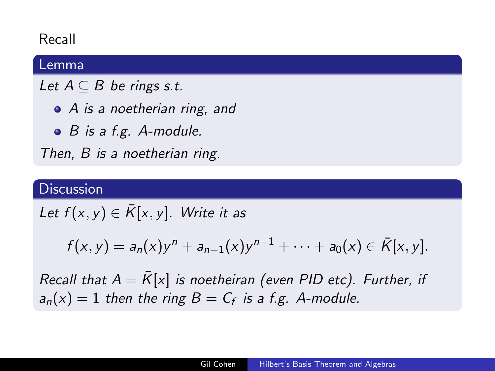# Recall

#### Lemma

Let  $A \subseteq B$  be rings s.t.

A is a noetherian ring, and

 $\bullet$  B is a f.g. A-module.

Then, B is a noetherian ring.

## **Discussion**

Let  $f(x, y) \in \overline{K}[x, y]$ . Write it as

$$
f(x,y) = a_n(x)y^n + a_{n-1}(x)y^{n-1} + \cdots + a_0(x) \in \overline{K}[x,y].
$$

Recall that  $A = \overline{K}[x]$  is noetheiran (even PID etc). Further, if  $a_n(x) = 1$  then the ring  $B = C_f$  is a f.g. A-module.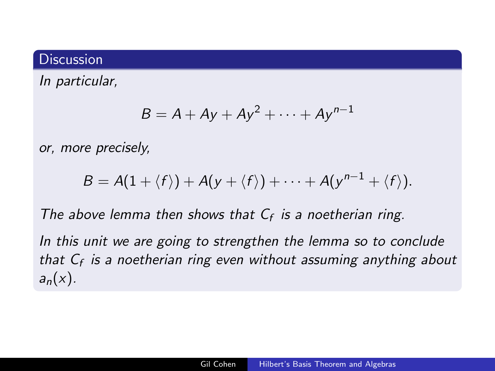# **Discussion**

In particular,

$$
B=A+Ay+Ay^2+\cdots+Ay^{n-1}
$$

or, more precisely,

$$
B=A(1+\langle f\rangle)+A(y+\langle f\rangle)+\cdots+A(y^{n-1}+\langle f\rangle).
$$

The above lemma then shows that  $C_f$  is a noetherian ring.

In this unit we are going to strengthen the lemma so to conclude that  $C_f$  is a noetherian ring even without assuming anything about  $a_n(x)$ .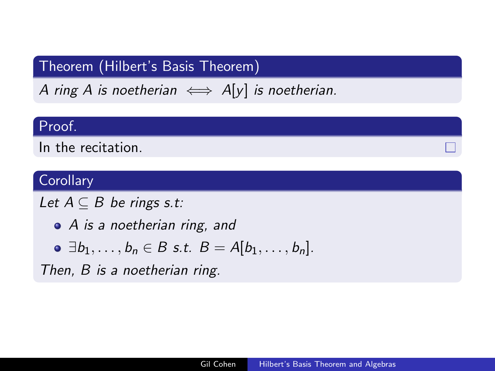# Theorem (Hilbert's Basis Theorem)

A ring A is noetherian  $\iff$  A[y] is noetherian.

## Proof.

In the recitation.

# **Corollary**

Let  $A \subseteq B$  be rings s.t:

A is a noetherian ring, and

$$
\bullet \ \exists b_1,\ldots,b_n \in B \ s.t. \ B = A[b_1,\ldots,b_n].
$$

Then, B is a noetherian ring.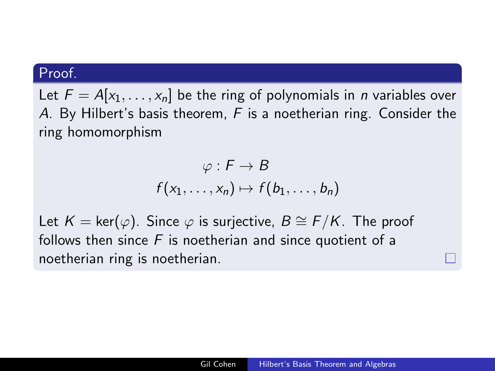#### Proof.

Let  $F = A[x_1, \ldots, x_n]$  be the ring of polynomials in *n* variables over A. By Hilbert's basis theorem,  $F$  is a noetherian ring. Consider the ring homomorphism

$$
\varphi : F \to B
$$
  

$$
f(x_1, \ldots, x_n) \mapsto f(b_1, \ldots, b_n)
$$

Let  $K = \text{ker}(\varphi)$ . Since  $\varphi$  is surjective,  $B \cong F/K$ . The proof follows then since  $F$  is noetherian and since quotient of a noetherian ring is noetherian.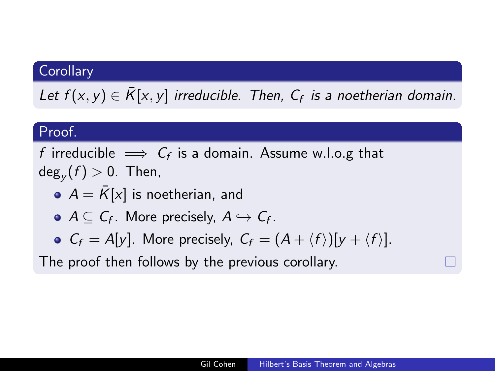### **Corollary**

Let  $f(x, y) \in \overline{K}[x, y]$  irreducible. Then,  $C_f$  is a noetherian domain.

#### Proof.

 $f$  irreducible  $\implies \mathsf{C}_f$  is a domain. Assume w.l.o.g that  $\deg_y(f)>0$ . Then,

- $\bullet$   $A = \overline{K}[x]$  is noetherian, and
- $A \subseteq C_f$ . More precisely,  $A \hookrightarrow C_f$ .
- $C_f = A[y]$ . More precisely,  $C_f = (A + \langle f \rangle)[y + \langle f \rangle]$ .

The proof then follows by the previous corollary.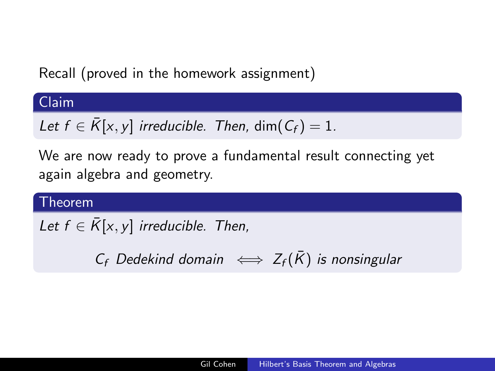Recall (proved in the homework assignment)

Claim

Let  $f \in \overline{K}[x, y]$  irreducible. Then, dim $(C_f) = 1$ .

We are now ready to prove a fundamental result connecting yet again algebra and geometry.

#### Theorem

Let  $f \in \overline{K}[x, y]$  irreducible. Then,

 $C_f$  Dedekind domain  $\iff Z_f(\bar{K})$  is nonsingular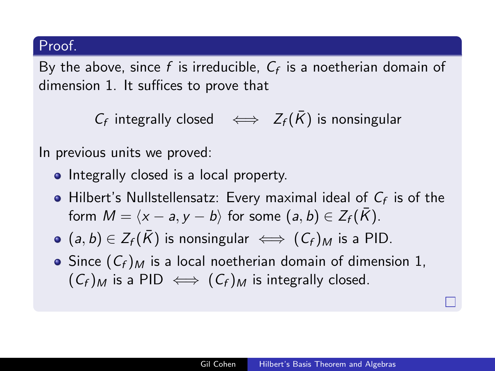## Proof.

By the above, since  $f$  is irreducible,  $C_f$  is a noetherian domain of dimension 1. It suffices to prove that

 $C_f$  integrally closed  $\iff Z_f(\bar{K})$  is nonsingular

In previous units we proved:

- Integrally closed is a local property.
- Hilbert's Nullstellensatz: Every maximal ideal of  $C_f$  is of the form  $M = \langle x - a, y - b \rangle$  for some  $(a, b) \in Z_f(\overline{K})$ .
- $\bullet$  (a, b)  $\in Z_f(\overline{K})$  is nonsingular  $\iff$   $(C_f)_M$  is a PID.
- Since  $(C_f)_M$  is a local noetherian domain of dimension 1,  $(C_f)_M$  is a PID  $\iff$   $(C_f)_M$  is integrally closed.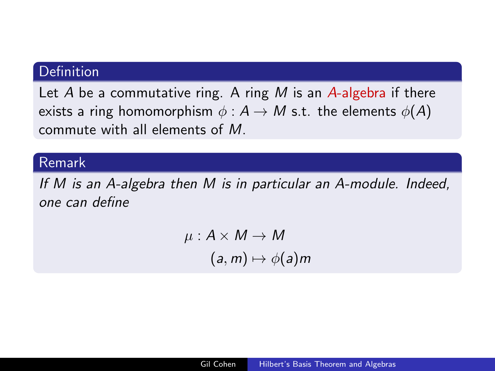## **Definition**

Let A be a commutative ring. A ring  $M$  is an A-algebra if there exists a ring homomorphism  $\phi : A \rightarrow M$  s.t. the elements  $\phi(A)$ commute with all elements of M.

## Remark

If M is an A-algebra then M is in particular an A-module. Indeed, one can define

$$
\mu: A \times M \to M
$$

$$
(a, m) \mapsto \phi(a)m
$$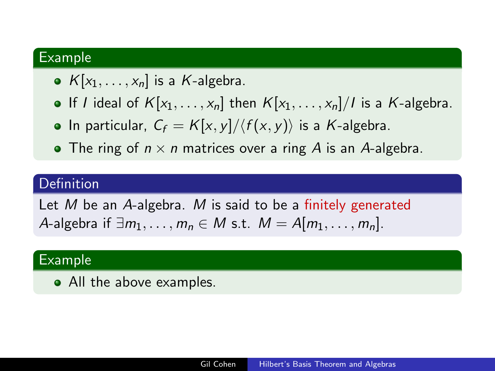## Example

- $K[x_1, \ldots, x_n]$  is a K-algebra.
- If I ideal of  $K[x_1, \ldots, x_n]$  then  $K[x_1, \ldots, x_n]/I$  is a K-algebra.
- In particular,  $C_f = K[x, y]/\langle f(x, y) \rangle$  is a K-algebra.
- The ring of  $n \times n$  matrices over a ring A is an A-algebra.

# Definition

Let M be an A-algebra. M is said to be a finitely generated A-algebra if  $\exists m_1, \ldots, m_n \in M$  s.t.  $M = A[m_1, \ldots, m_n]$ .

## Example

• All the above examples.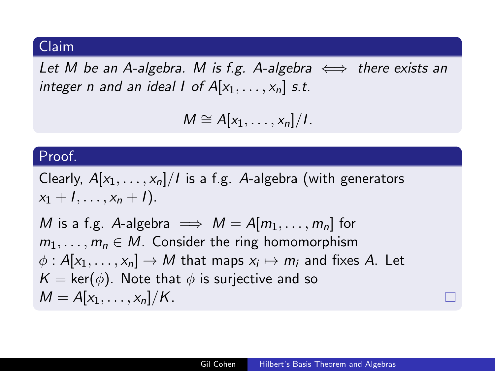#### Claim

Let M be an A-algebra. M is f.g. A-algebra  $\iff$  there exists an integer n and an ideal I of  $A[x_1, \ldots, x_n]$  s.t.

 $M \cong A[x_1,\ldots,x_n]/I$ .

#### Proof.

Clearly,  $A[x_1, \ldots, x_n]/I$  is a f.g. A-algebra (with generators  $x_1 + 1, \ldots, x_n + 1$ . M is a f.g. A-algebra  $\implies M = A[m_1, \ldots, m_n]$  for  $m_1, \ldots, m_n \in M$ . Consider the ring homomorphism  $\phi: \mathcal{A}[x_1,\ldots,x_n] \to M$  that maps  $x_i \mapsto m_i$  and fixes  $A$ . Let  $K = \text{ker}(\phi)$ . Note that  $\phi$  is surjective and so  $M = A[x_1, \ldots, x_n]/K$ .